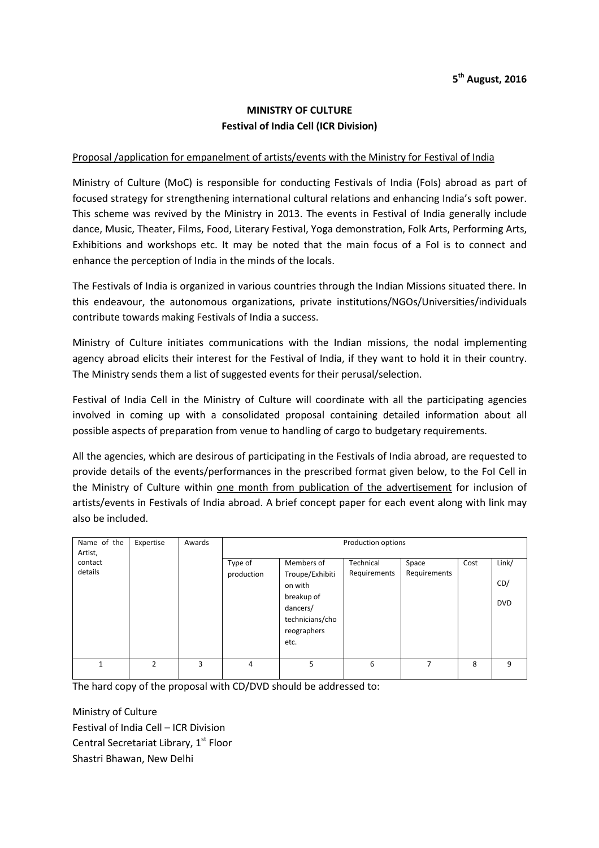## **MINISTRY OF CULTURE Festival of India Cell (ICR Division)**

## Proposal /application for empanelment of artists/events with the Ministry for Festival of India

Ministry of Culture (MoC) is responsible for conducting Festivals of India (FoIs) abroad as part of focused strategy for strengthening international cultural relations and enhancing India's soft power. This scheme was revived by the Ministry in 2013. The events in Festival of India generally include dance, Music, Theater, Films, Food, Literary Festival, Yoga demonstration, Folk Arts, Performing Arts, Exhibitions and workshops etc. It may be noted that the main focus of a FoI is to connect and enhance the perception of India in the minds of the locals.

The Festivals of India is organized in various countries through the Indian Missions situated there. In this endeavour, the autonomous organizations, private institutions/NGOs/Universities/individuals contribute towards making Festivals of India a success.

Ministry of Culture initiates communications with the Indian missions, the nodal implementing agency abroad elicits their interest for the Festival of India, if they want to hold it in their country. The Ministry sends them a list of suggested events for their perusal/selection.

Festival of India Cell in the Ministry of Culture will coordinate with all the participating agencies involved in coming up with a consolidated proposal containing detailed information about all possible aspects of preparation from venue to handling of cargo to budgetary requirements.

All the agencies, which are desirous of participating in the Festivals of India abroad, are requested to provide details of the events/performances in the prescribed format given below, to the FoI Cell in the Ministry of Culture within one month from publication of the advertisement for inclusion of artists/events in Festivals of India abroad. A brief concept paper for each event along with link may also be included.

| Name of the<br>Artist, | Expertise      | Awards | Production options    |                                                                                                              |                           |                       |      |                            |
|------------------------|----------------|--------|-----------------------|--------------------------------------------------------------------------------------------------------------|---------------------------|-----------------------|------|----------------------------|
| contact<br>details     |                |        | Type of<br>production | Members of<br>Troupe/Exhibiti<br>on with<br>breakup of<br>dancers/<br>technicians/cho<br>reographers<br>etc. | Technical<br>Requirements | Space<br>Requirements | Cost | Link/<br>CD/<br><b>DVD</b> |
| $\mathbf{1}$           | $\mathfrak{p}$ | 3      | 4                     | 5                                                                                                            | 6                         | 7                     | 8    | q                          |

The hard copy of the proposal with CD/DVD should be addressed to:

Ministry of Culture Festival of India Cell – ICR Division Central Secretariat Library, 1<sup>st</sup> Floor Shastri Bhawan, New Delhi